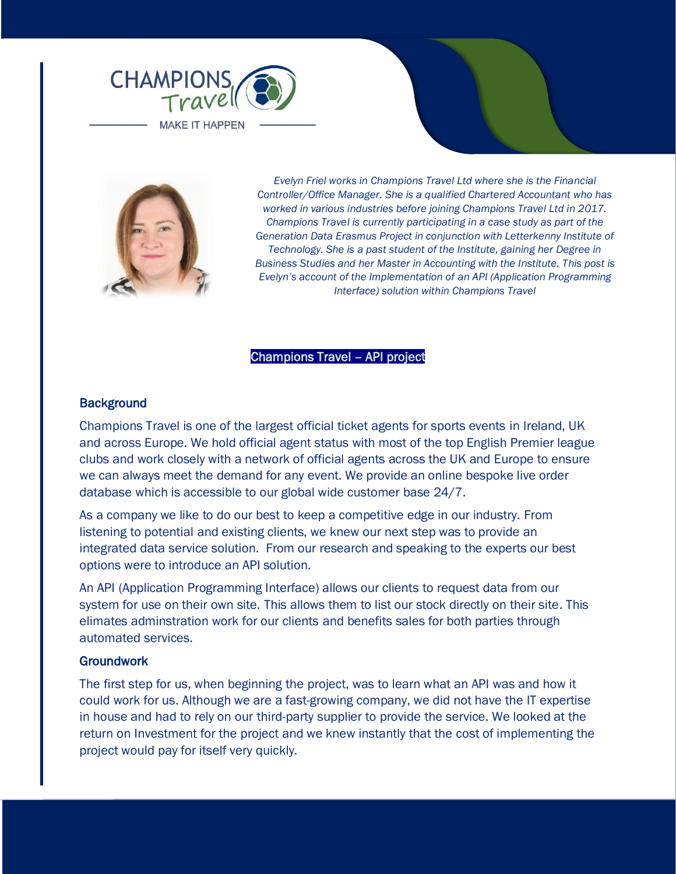



*Evelyn Friel works in Champions Travel Ltd where she is the Financial Controller/Office Manager. She is a qualified Chartered Accountant who has worked in various industries before joining Champions Travel Ltd in 2017. Champions Travel is currently participating in a case study as part of the Generation Data Erasmus Project in conjunction with Letterkenny Institute of Technology. She is a past student of the Institute, gaining her Degree in Business Studies and her Master in Accounting with the Institute. This post is Evelyn's account of the Implementation of an API (Application Programming Interface) solution within Champions Travel*

## Champions Travel – API project

### **Background**

Champions Travel is one of the largest official ticket agents for sports events in Ireland, UK and across Europe. We hold official agent status with most of the top English Premier league clubs and work closely with a network of official agents across the UK and Europe to ensure we can always meet the demand for any event. We provide an online bespoke live order database which is accessible to our global wide customer base 24/7.

As a company we like to do our best to keep a competitive edge in our industry. From listening to potential and existing clients, we knew our next step was to provide an integrated data service solution. From our research and speaking to the experts our best options were to introduce an API solution.

An API (Application Programming Interface) allows our clients to request data from our system for use on their own site. This allows them to list our stock directly on their site. This elimates adminstration work for our clients and benefits sales for both parties through automated services.

### **Groundwork**

The first step for us, when beginning the project, was to learn what an API was and how it could work for us. Although we are a fast-growing company, we did not have the IT expertise in house and had to rely on our third-party supplier to provide the service. We looked at the return on Investment for the project and we knew instantly that the cost of implementing the project would pay for itself very quickly.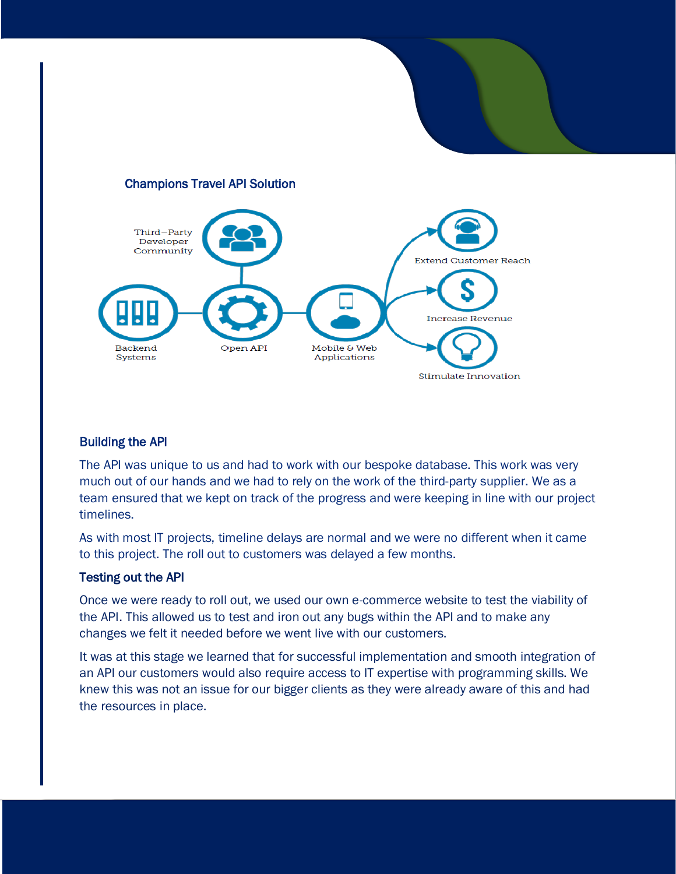# Champions Travel API Solution



# Building the API

The API was unique to us and had to work with our bespoke database. This work was very much out of our hands and we had to rely on the work of the third-party supplier. We as a team ensured that we kept on track of the progress and were keeping in line with our project timelines.

As with most IT projects, timeline delays are normal and we were no different when it came to this project. The roll out to customers was delayed a few months.

### Testing out the API

Once we were ready to roll out, we used our own e-commerce website to test the viability of the API. This allowed us to test and iron out any bugs within the API and to make any changes we felt it needed before we went live with our customers.

It was at this stage we learned that for successful implementation and smooth integration of an API our customers would also require access to IT expertise with programming skills. We knew this was not an issue for our bigger clients as they were already aware of this and had the resources in place.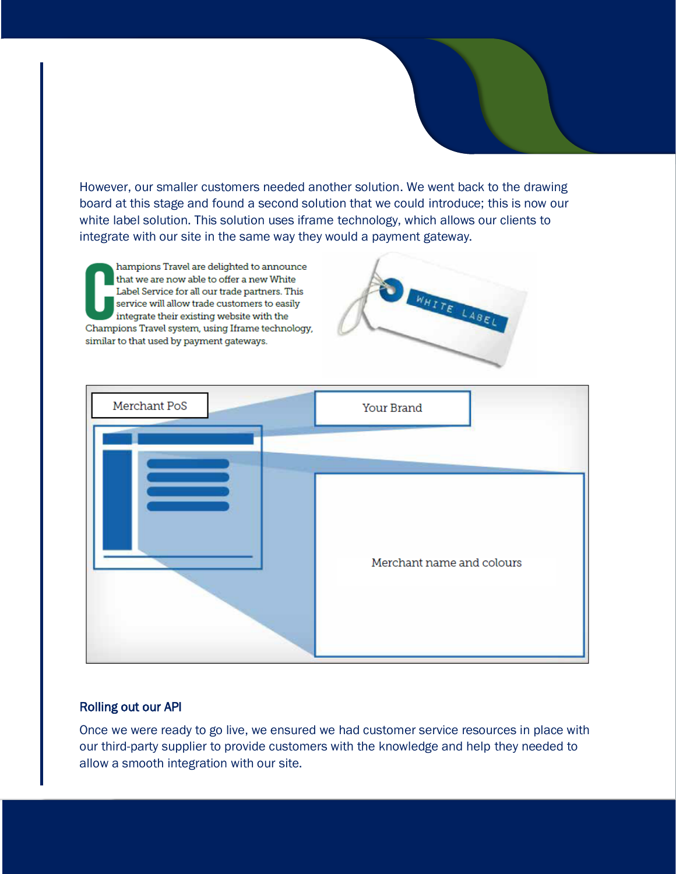However, our smaller customers needed another solution. We went back to the drawing board at this stage and found a second solution that we could introduce; this is now our white label solution. This solution uses iframe technology, which allows our clients to integrate with our site in the same way they would a payment gateway.

hampions Travel are delighted to announce that we are now able to offer a new White Label Service for all our trade partners. This service will allow trade customers to easily integrate their existing website with the Champions Travel system, using Iframe technology, similar to that used by payment gateways.





### Rolling out our API

Once we were ready to go live, we ensured we had customer service resources in place with our third-party supplier to provide customers with the knowledge and help they needed to allow a smooth integration with our site.